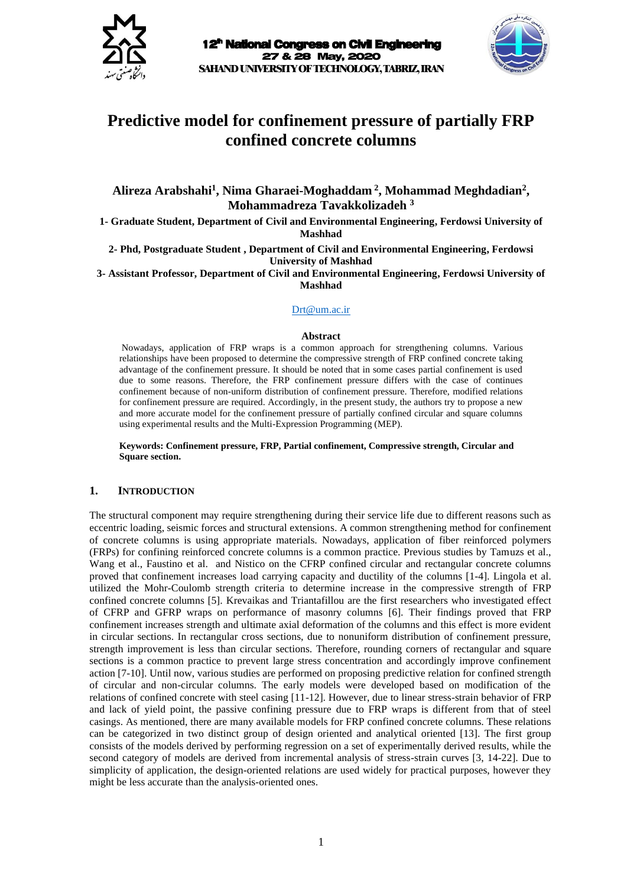



# **Predictive model for confinement pressure of partially FRP confined concrete columns**

**Alireza Arabshahi<sup>1</sup> , Nima Gharaei-Moghaddam <sup>2</sup> , Mohammad Meghdadian<sup>2</sup> , Mohammadreza Tavakkolizadeh <sup>3</sup>**

**1- Graduate Student, Department of Civil and Environmental Engineering, Ferdowsi University of Mashhad**

**2- Phd, Postgraduate Student , Department of Civil and Environmental Engineering, Ferdowsi University of Mashhad**

**3- Assistant Professor, Department of Civil and Environmental Engineering, Ferdowsi University of Mashhad**

#### [Drt@um.ac.ir](mailto:Drt@um.ac.ir)

#### **Abstract**

Nowadays, application of FRP wraps is a common approach for strengthening columns. Various relationships have been proposed to determine the compressive strength of FRP confined concrete taking advantage of the confinement pressure. It should be noted that in some cases partial confinement is used due to some reasons. Therefore, the FRP confinement pressure differs with the case of continues confinement because of non-uniform distribution of confinement pressure. Therefore, modified relations for confinement pressure are required. Accordingly, in the present study, the authors try to propose a new and more accurate model for the confinement pressure of partially confined circular and square columns using experimental results and the Multi-Expression Programming (MEP).

**Keywords: Confinement pressure, FRP, Partial confinement, Compressive strength, Circular and Square section.**

### **1. INTRODUCTION**

The structural component may require strengthening during their service life due to different reasons such as eccentric loading, seismic forces and structural extensions. A common strengthening method for confinement of concrete columns is using appropriate materials. Nowadays, application of fiber reinforced polymers (FRPs) for confining reinforced concrete columns is a common practice. Previous studies by Tamuzs et al., Wang et al., Faustino et al. and Nistico on the CFRP confined circular and rectangular concrete columns proved that confinement increases load carrying capacity and ductility of the columns [1-4]. Lingola et al. utilized the Mohr-Coulomb strength criteria to determine increase in the compressive strength of FRP confined concrete columns [5]. Krevaikas and Triantafillou are the first researchers who investigated effect of CFRP and GFRP wraps on performance of masonry columns [6]. Their findings proved that FRP confinement increases strength and ultimate axial deformation of the columns and this effect is more evident in circular sections. In rectangular cross sections, due to nonuniform distribution of confinement pressure, strength improvement is less than circular sections. Therefore, rounding corners of rectangular and square sections is a common practice to prevent large stress concentration and accordingly improve confinement action [7-10]. Until now, various studies are performed on proposing predictive relation for confined strength of circular and non-circular columns. The early models were developed based on modification of the relations of confined concrete with steel casing [11-12]. However, due to linear stress-strain behavior of FRP and lack of yield point, the passive confining pressure due to FRP wraps is different from that of steel casings. As mentioned, there are many available models for FRP confined concrete columns. These relations can be categorized in two distinct group of design oriented and analytical oriented [13]. The first group consists of the models derived by performing regression on a set of experimentally derived results, while the second category of models are derived from incremental analysis of stress-strain curves [3, 14-22]. Due to simplicity of application, the design-oriented relations are used widely for practical purposes, however they might be less accurate than the analysis-oriented ones.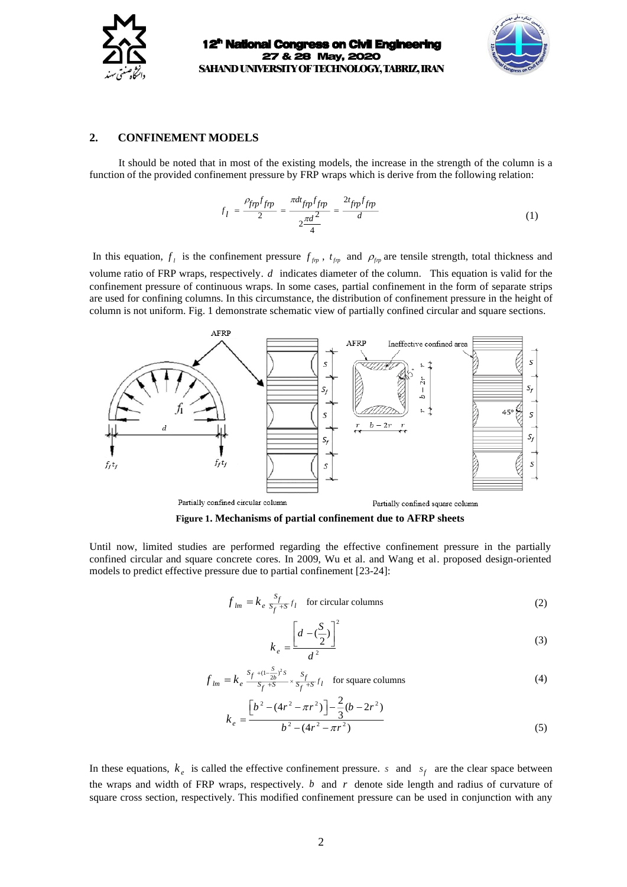



### **2. CONFINEMENT MODELS**

It should be noted that in most of the existing models, the increase in the strength of the column is a function of the provided confinement pressure by FRP wraps which is derive from the following relation:

$$
f_l = \frac{\rho_{fpp} f_{fpp}}{2} = \frac{\pi dt_{fpp} f_{fpp}}{2\frac{\pi d^2}{4}} = \frac{2t_{fpp} f_{fpp}}{d}
$$
(1)

In this equation,  $f_i$  is the confinement pressure  $f_{fp}$ ,  $t_{fp}$  and  $\rho_{fp}$  are tensile strength, total thickness and volume ratio of FRP wraps, respectively. *<sup>d</sup>* indicates diameter of the column. This equation is valid for the confinement pressure of continuous wraps. In some cases, partial confinement in the form of separate strips are used for confining columns. In this circumstance, the distribution of confinement pressure in the height of column is not uniform. Fig. 1 demonstrate schematic view of partially confined circular and square sections.



**Figure 1. Mechanisms of partial confinement due to AFRP sheets**

Until now, limited studies are performed regarding the effective confinement pressure in the partially confined circular and square concrete cores. In 2009, Wu et al. and Wang et al. proposed design-oriented models to predict effective pressure due to partial confinement [23-24]:

$$
f_{lm} = k_e \frac{s_f}{s_f + s} f_l \quad \text{for circular columns} \tag{2}
$$

$$
k_e = \frac{\left[d - \left(\frac{S}{2}\right)\right]^2}{d^2} \tag{3}
$$

$$
f_{lm} = k_e \frac{s_f + (1 - \frac{S}{2b})^2 s}{s_f + s} \times \frac{s_f}{s_f + s} f_l \quad \text{for square columns} \tag{4}
$$

$$
k_e = \frac{\left[b^2 - (4r^2 - \pi r^2)\right] - \frac{2}{3}(b - 2r^2)}{b^2 - (4r^2 - \pi r^2)}
$$
\n(5)

In these equations,  $k_e$  is called the effective confinement pressure. *s* and  $s_f$  are the clear space between the wraps and width of FRP wraps, respectively. *b* and *r* denote side length and radius of curvature of square cross section, respectively. This modified confinement pressure can be used in conjunction with any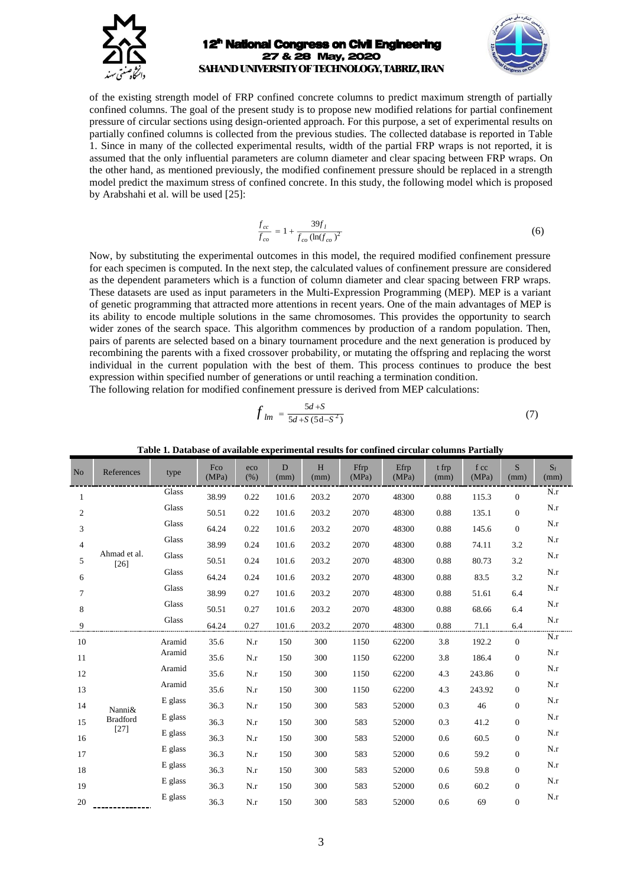

of the existing strength model of FRP confined concrete columns to predict maximum strength of partially confined columns. The goal of the present study is to propose new modified relations for partial confinement pressure of circular sections using design-oriented approach. For this purpose, a set of experimental results on partially confined columns is collected from the previous studies. The collected database is reported in Table 1. Since in many of the collected experimental results, width of the partial FRP wraps is not reported, it is assumed that the only influential parameters are column diameter and clear spacing between FRP wraps. On the other hand, as mentioned previously, the modified confinement pressure should be replaced in a strength model predict the maximum stress of confined concrete. In this study, the following model which is proposed by Arabshahi et al. will be used [25]:

$$
\frac{f_{cc}}{f_{co}} = 1 + \frac{39f_l}{f_{co}(\ln(f_{co})^2)}
$$
(6)

Now, by substituting the experimental outcomes in this model, the required modified confinement pressure for each specimen is computed. In the next step, the calculated values of confinement pressure are considered as the dependent parameters which is a function of column diameter and clear spacing between FRP wraps. These datasets are used as input parameters in the Multi-Expression Programming (MEP). MEP is a variant of genetic programming that attracted more attentions in recent years. One of the main advantages of MEP is its ability to encode multiple solutions in the same chromosomes. This provides the opportunity to search wider zones of the search space. This algorithm commences by production of a random population. Then, pairs of parents are selected based on a binary tournament procedure and the next generation is produced by recombining the parents with a fixed crossover probability, or mutating the offspring and replacing the worst individual in the current population with the best of them. This process continues to produce the best expression within specified number of generations or until reaching a termination condition. The following relation for modified confinement pressure is derived from MEP calculations:

$$
f_{lm} = \frac{5d + S}{5d + S(5d - S^2)}
$$
 (7)

| N <sub>o</sub> | References                          | type    | Fco<br>(MPa) | eco<br>(% ) | D<br>(mm) | H<br>(mm) | Ffrp<br>(MPa) | Efrp<br>(MPa) | t frp<br>(mm) | f cc<br>(MPa) | S<br>(mm)        | $S_f$<br>(mm) |
|----------------|-------------------------------------|---------|--------------|-------------|-----------|-----------|---------------|---------------|---------------|---------------|------------------|---------------|
| $\mathbf{1}$   |                                     | Glass   | 38.99        | 0.22        | 101.6     | 203.2     | 2070          | 48300         | 0.88          | 115.3         | $\mathbf{0}$     | N.r           |
| $\mathbf{2}$   |                                     | Glass   | 50.51        | 0.22        | 101.6     | 203.2     | 2070          | 48300         | 0.88          | 135.1         | $\mathbf{0}$     | N.r           |
| 3              |                                     | Glass   | 64.24        | 0.22        | 101.6     | 203.2     | 2070          | 48300         | 0.88          | 145.6         | $\mathbf{0}$     | N.r           |
| $\overline{4}$ |                                     | Glass   | 38.99        | 0.24        | 101.6     | 203.2     | 2070          | 48300         | 0.88          | 74.11         | 3.2              | N.r           |
| 5              | Ahmad et al.<br>$[26]$              | Glass   | 50.51        | 0.24        | 101.6     | 203.2     | 2070          | 48300         | 0.88          | 80.73         | 3.2              | N.r           |
| 6              |                                     | Glass   | 64.24        | 0.24        | 101.6     | 203.2     | 2070          | 48300         | 0.88          | 83.5          | 3.2              | N.r           |
| $\tau$         |                                     | Glass   | 38.99        | 0.27        | 101.6     | 203.2     | 2070          | 48300         | 0.88          | 51.61         | 6.4              | N.r           |
| 8              |                                     | Glass   | 50.51        | 0.27        | 101.6     | 203.2     | 2070          | 48300         | 0.88          | 68.66         | 6.4              | N.r           |
| 9              |                                     | Glass   | 64.24        | 0.27        | 101.6     | 203.2     | 2070          | 48300         | 0.88          | 71.1          | 6.4              | N.r           |
| 10             |                                     | Aramid  | 35.6         | N.r         | 150       | 300       | 1150          | 62200         | 3.8           | 192.2         | $\Omega$         | N.r           |
| 11             |                                     | Aramid  | 35.6         | N.r         | 150       | 300       | 1150          | 62200         | 3.8           | 186.4         | $\mathbf{0}$     | N.r           |
| 12             |                                     | Aramid  | 35.6         | N.r         | 150       | 300       | 1150          | 62200         | 4.3           | 243.86        | $\overline{0}$   | N.r           |
| 13             |                                     | Aramid  | 35.6         | N.r         | 150       | 300       | 1150          | 62200         | 4.3           | 243.92        | $\boldsymbol{0}$ | N.r           |
| 14             | Nanni&<br><b>Bradford</b><br>$[27]$ | E glass | 36.3         | N.r         | 150       | 300       | 583           | 52000         | 0.3           | 46            | $\mathbf{0}$     | N.r           |
| 15             |                                     | E glass | 36.3         | N.r         | 150       | 300       | 583           | 52000         | 0.3           | 41.2          | $\overline{0}$   | N.r           |
| 16             |                                     | E glass | 36.3         | N.r         | 150       | 300       | 583           | 52000         | 0.6           | 60.5          | $\boldsymbol{0}$ | N.r           |
| 17             |                                     | E glass | 36.3         | N.r         | 150       | 300       | 583           | 52000         | 0.6           | 59.2          | $\mathbf{0}$     | N.r           |
| 18             |                                     | E glass | 36.3         | N.r         | 150       | 300       | 583           | 52000         | 0.6           | 59.8          | $\mathbf{0}$     | N.r           |
| 19             |                                     | E glass | 36.3         | N.r         | 150       | 300       | 583           | 52000         | 0.6           | 60.2          | $\mathbf{0}$     | N.r           |
| 20             |                                     | E glass | 36.3         | N.r         | 150       | 300       | 583           | 52000         | 0.6           | 69            | $\boldsymbol{0}$ | N.r           |

**Table 1. Database of available experimental results for confined circular columns Partially**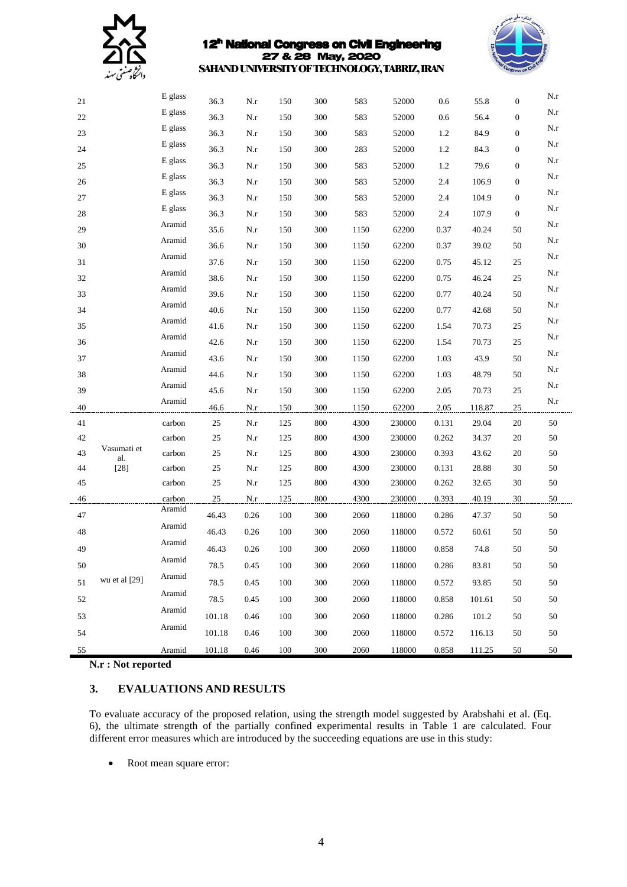



|        |                    | E glass |        |                   |     |     |      |        |       |        |                  | N.r       |
|--------|--------------------|---------|--------|-------------------|-----|-----|------|--------|-------|--------|------------------|-----------|
| 21     |                    | E glass | 36.3   | N.r               | 150 | 300 | 583  | 52000  | 0.6   | 55.8   | $\mathbf{0}$     | N.r       |
| 22     |                    |         | 36.3   | N.r               | 150 | 300 | 583  | 52000  | 0.6   | 56.4   | $\mathbf{0}$     |           |
| 23     |                    | E glass | 36.3   | N.r               | 150 | 300 | 583  | 52000  | 1.2   | 84.9   | $\mathbf{0}$     | N.r       |
| 24     |                    | E glass | 36.3   | N.r               | 150 | 300 | 283  | 52000  | 1.2   | 84.3   | $\boldsymbol{0}$ | N.r       |
| 25     |                    | E glass | 36.3   | N.r               | 150 | 300 | 583  | 52000  | 1.2   | 79.6   | $\mathbf{0}$     | N.r       |
| 26     |                    | E glass | 36.3   | N.r               | 150 | 300 | 583  | 52000  | 2.4   | 106.9  | $\mathbf{0}$     | N.r       |
| 27     |                    | E glass | 36.3   | N.r               | 150 | 300 | 583  | 52000  | 2.4   | 104.9  | $\mathbf{0}$     | N.r       |
| $28\,$ |                    | E glass | 36.3   | N.r               | 150 | 300 | 583  | 52000  | 2.4   | 107.9  | $\mathbf{0}$     | N.r       |
| 29     |                    | Aramid  | 35.6   | N.r               | 150 | 300 | 1150 | 62200  | 0.37  | 40.24  | 50               | $\rm N.r$ |
| 30     |                    | Aramid  | 36.6   | N.r               | 150 | 300 | 1150 | 62200  | 0.37  | 39.02  | 50               | $\rm N.r$ |
| 31     |                    | Aramid  | 37.6   | N.r               | 150 | 300 | 1150 | 62200  | 0.75  | 45.12  | 25               | N.r       |
| 32     |                    | Aramid  | 38.6   | N.r               | 150 | 300 | 1150 | 62200  | 0.75  | 46.24  | 25               | N.r       |
| 33     |                    | Aramid  | 39.6   | N.r               | 150 | 300 | 1150 | 62200  | 0.77  | 40.24  | 50               | N.r       |
| 34     |                    | Aramid  | 40.6   | N.r               | 150 | 300 | 1150 | 62200  | 0.77  | 42.68  | 50               | N.r       |
| 35     |                    | Aramid  | 41.6   | N.r               | 150 | 300 | 1150 | 62200  | 1.54  | 70.73  | 25               | N.r       |
| 36     |                    | Aramid  | 42.6   | N.r               | 150 | 300 | 1150 | 62200  | 1.54  | 70.73  | 25               | $\rm N.r$ |
| 37     |                    | Aramid  | 43.6   | N.r               | 150 | 300 | 1150 | 62200  | 1.03  | 43.9   | 50               | N.r       |
| 38     |                    | Aramid  | 44.6   | N.r               | 150 | 300 | 1150 | 62200  | 1.03  | 48.79  | 50               | N.r       |
| 39     |                    | Aramid  | 45.6   | N.r               | 150 | 300 | 1150 | 62200  | 2.05  | 70.73  | 25               | N.r       |
| 40     |                    | Aramid  | 46.6   | N.r               | 150 | 300 | 1150 | 62200  | 2.05  | 118.87 | 25               | N.r       |
| 41     |                    | carbon  | 25     | $_{\mathrm{N.r}}$ | 125 | 800 | 4300 | 230000 | 0.131 | 29.04  | $20\,$           | 50        |
| 42     |                    | carbon  | 25     | N.r               | 125 | 800 | 4300 | 230000 | 0.262 | 34.37  | 20               | 50        |
| 43     | Vasumati et<br>al. | carbon  | 25     | N.r               | 125 | 800 | 4300 | 230000 | 0.393 | 43.62  | 20               | 50        |
| 44     | $[28]$             | carbon  | 25     | N.r               | 125 | 800 | 4300 | 230000 | 0.131 | 28.88  | 30               | $50\,$    |
| 45     |                    | carbon  | 25     | N.r               | 125 | 800 | 4300 | 230000 | 0.262 | 32.65  | 30               | $50\,$    |
| 46     |                    | carbon  | 25     | N.r               | 125 | 800 | 4300 | 230000 | 0.393 | 40.19  | 30               | 50        |
| 47     |                    | Aramid  | 46.43  | 0.26              | 100 | 300 | 2060 | 118000 | 0.286 | 47.37  | 50               | 50        |
| 48     |                    | Aramid  | 46.43  | 0.26              | 100 | 300 | 2060 | 118000 | 0.572 | 60.61  | 50               | 50        |
| 49     | wu et al [29]      | Aramid  | 46.43  | 0.26              | 100 | 300 | 2060 | 118000 | 0.858 | 74.8   | 50               | $50\,$    |
| 50     |                    | Aramid  | 78.5   | 0.45              | 100 | 300 | 2060 | 118000 | 0.286 | 83.81  | 50               | 50        |
| 51     |                    | Aramid  | 78.5   | 0.45              | 100 | 300 | 2060 | 118000 | 0.572 | 93.85  | 50               | $50\,$    |
| 52     |                    | Aramid  | 78.5   | 0.45              | 100 | 300 | 2060 | 118000 | 0.858 | 101.61 | 50               | 50        |
|        |                    | Aramid  | 101.18 | 0.46              | 100 | 300 |      | 118000 |       | 101.2  |                  | 50        |
| 53     |                    | Aramid  |        |                   |     |     | 2060 |        | 0.286 |        | 50               |           |
| 54     |                    |         | 101.18 | 0.46              | 100 | 300 | 2060 | 118000 | 0.572 | 116.13 | 50               | 50        |
| 55     |                    | Aramid  | 101.18 | 0.46              | 100 | 300 | 2060 | 118000 | 0.858 | 111.25 | 50               | $50\,$    |

**N.r : Not reported**

# **3. EVALUATIONS AND RESULTS**

To evaluate accuracy of the proposed relation, using the strength model suggested by Arabshahi et al. (Eq. 6), the ultimate strength of the partially confined experimental results in Table 1 are calculated. Four different error measures which are introduced by the succeeding equations are use in this study:

• Root mean square error: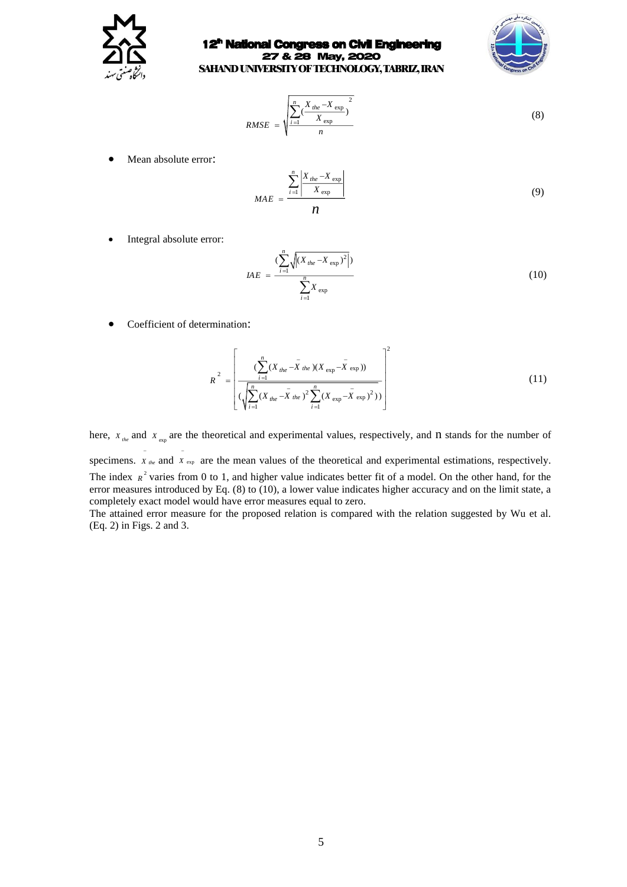

### 12<sup>th</sup> National Congress on Civil Engineering 27 & 28 May, 2020



**SAHAND UNIVERSITYOF TECHNOLOGY, TABRIZ, IRAN**

$$
RMSE = \sqrt{\frac{\sum_{i=1}^{n} (\frac{X_{the} - X_{exp}}{X_{exp}})^{2}}{n}}
$$
(8)

• Mean absolute error:

$$
MAE = \frac{\sum_{i=1}^{n} \left| \frac{X_{the} - X_{exp}}{X_{exp}} \right|}{n}
$$
(9)

Integral absolute error:

$$
IAE = \frac{(\sum_{i=1}^{n} \sqrt{|(X_{the} - X_{exp})^{2}|})}{\sum_{i=1}^{n} X_{exp}}
$$
(10)

• Coefficient of determination:

$$
R^{2} = \left[ \frac{\left(\sum_{i=1}^{n} (X_{the} - \bar{X}_{the})(X_{exp} - \bar{X}_{exp}))\right)}{\left(\sqrt{\sum_{i=1}^{n} (X_{the} - \bar{X}_{the})^{2} \sum_{i=1}^{n} (X_{exp} - \bar{X}_{exp})^{2})}\right)} \right]^{2}
$$
(11)

here,  $X_{\text{the}}$  and  $X_{\text{exp}}$  are the theoretical and experimental values, respectively, and n stands for the number of

specimens.  $X_{the}$  and  $X_{exp}$  are the mean values of the theoretical and experimental estimations, respectively. The index  $R^2$  varies from 0 to 1, and higher value indicates better fit of a model. On the other hand, for the error measures introduced by Eq. (8) to (10), a lower value indicates higher accuracy and on the limit state, a completely exact model would have error measures equal to zero.

The attained error measure for the proposed relation is compared with the relation suggested by Wu et al. (Eq. 2) in Figs. 2 and 3.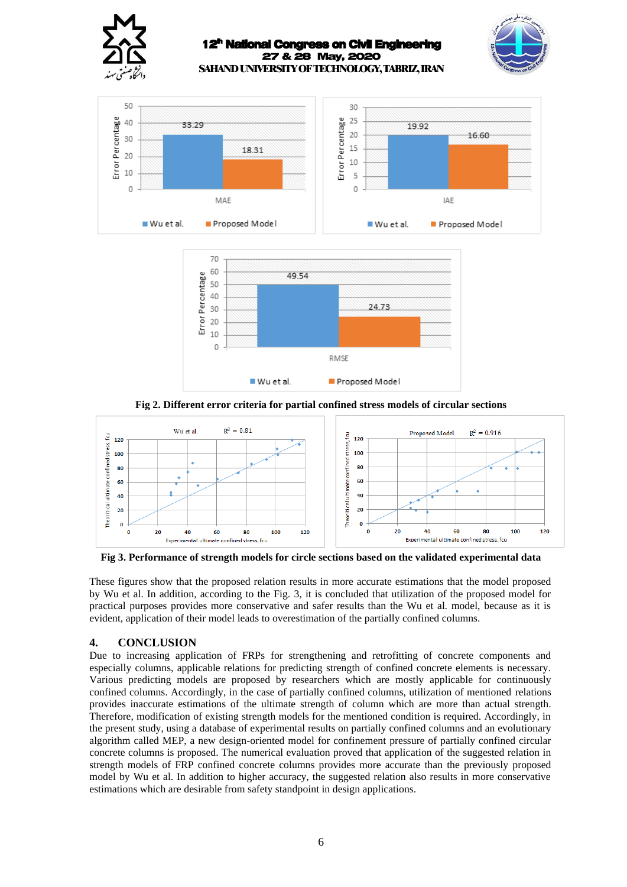





**Fig 2. Different error criteria for partial confined stress models of circular sections**



**Fig 3. Performance of strength models for circle sections based on the validated experimental data**

These figures show that the proposed relation results in more accurate estimations that the model proposed by Wu et al. In addition, according to the Fig. 3, it is concluded that utilization of the proposed model for practical purposes provides more conservative and safer results than the Wu et al. model, because as it is evident, application of their model leads to overestimation of the partially confined columns.

# **4. CONCLUSION**

Due to increasing application of FRPs for strengthening and retrofitting of concrete components and especially columns, applicable relations for predicting strength of confined concrete elements is necessary. Various predicting models are proposed by researchers which are mostly applicable for continuously confined columns. Accordingly, in the case of partially confined columns, utilization of mentioned relations provides inaccurate estimations of the ultimate strength of column which are more than actual strength. Therefore, modification of existing strength models for the mentioned condition is required. Accordingly, in the present study, using a database of experimental results on partially confined columns and an evolutionary algorithm called MEP, a new design-oriented model for confinement pressure of partially confined circular concrete columns is proposed. The numerical evaluation proved that application of the suggested relation in strength models of FRP confined concrete columns provides more accurate than the previously proposed model by Wu et al. In addition to higher accuracy, the suggested relation also results in more conservative estimations which are desirable from safety standpoint in design applications.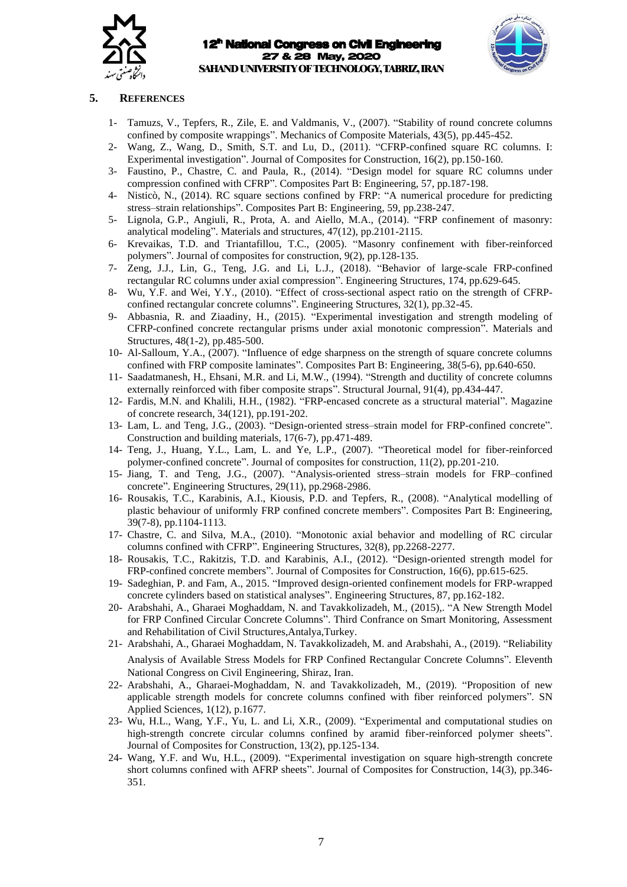



# **5. REFERENCES**

- 1- Tamuzs, V., Tepfers, R., Zile, E. and Valdmanis, V., (2007). "Stability of round concrete columns confined by composite wrappings". Mechanics of Composite Materials, 43(5), pp.445-452.
- 2- Wang, Z., Wang, D., Smith, S.T. and Lu, D., (2011). "CFRP-confined square RC columns. I: Experimental investigation". Journal of Composites for Construction, 16(2), pp.150-160.
- 3- Faustino, P., Chastre, C. and Paula, R., (2014). "Design model for square RC columns under compression confined with CFRP". Composites Part B: Engineering, 57, pp.187-198.
- 4- Nisticò, N., (2014). RC square sections confined by FRP: "A numerical procedure for predicting stress–strain relationships". Composites Part B: Engineering, 59, pp.238-247.
- 5- Lignola, G.P., Angiuli, R., Prota, A. and Aiello, M.A., (2014). "FRP confinement of masonry: analytical modeling". Materials and structures, 47(12), pp.2101-2115.
- 6- Krevaikas, T.D. and Triantafillou, T.C., (2005). "Masonry confinement with fiber-reinforced polymers". Journal of composites for construction, 9(2), pp.128-135.
- 7- Zeng, J.J., Lin, G., Teng, J.G. and Li, L.J., (2018). "Behavior of large-scale FRP-confined rectangular RC columns under axial compression". Engineering Structures, 174, pp.629-645.
- 8- Wu, Y.F. and Wei, Y.Y., (2010). "Effect of cross-sectional aspect ratio on the strength of CFRPconfined rectangular concrete columns". Engineering Structures, 32(1), pp.32-45.
- 9- Abbasnia, R. and Ziaadiny, H., (2015). "Experimental investigation and strength modeling of CFRP-confined concrete rectangular prisms under axial monotonic compression". Materials and Structures, 48(1-2), pp.485-500.
- 10- Al-Salloum, Y.A., (2007). "Influence of edge sharpness on the strength of square concrete columns confined with FRP composite laminates". Composites Part B: Engineering, 38(5-6), pp.640-650.
- 11- Saadatmanesh, H., Ehsani, M.R. and Li, M.W., (1994). "Strength and ductility of concrete columns externally reinforced with fiber composite straps". Structural Journal, 91(4), pp.434-447.
- 12- Fardis, M.N. and Khalili, H.H., (1982). "FRP-encased concrete as a structural material". Magazine of concrete research, 34(121), pp.191-202.
- 13- Lam, L. and Teng, J.G., (2003). "Design-oriented stress–strain model for FRP-confined concrete". Construction and building materials, 17(6-7), pp.471-489.
- 14- Teng, J., Huang, Y.L., Lam, L. and Ye, L.P., (2007). "Theoretical model for fiber-reinforced polymer-confined concrete". Journal of composites for construction, 11(2), pp.201-210.
- 15- Jiang, T. and Teng, J.G., (2007). "Analysis-oriented stress–strain models for FRP–confined concrete". Engineering Structures, 29(11), pp.2968-2986.
- 16- Rousakis, T.C., Karabinis, A.I., Kiousis, P.D. and Tepfers, R., (2008). "Analytical modelling of plastic behaviour of uniformly FRP confined concrete members". Composites Part B: Engineering, 39(7-8), pp.1104-1113.
- 17- Chastre, C. and Silva, M.A., (2010). "Monotonic axial behavior and modelling of RC circular columns confined with CFRP". Engineering Structures, 32(8), pp.2268-2277.
- 18- Rousakis, T.C., Rakitzis, T.D. and Karabinis, A.I., (2012). "Design-oriented strength model for FRP-confined concrete members". Journal of Composites for Construction, 16(6), pp.615-625.
- 19- Sadeghian, P. and Fam, A., 2015. "Improved design-oriented confinement models for FRP-wrapped concrete cylinders based on statistical analyses". Engineering Structures, 87, pp.162-182.
- 20- Arabshahi, A., Gharaei Moghaddam, N. and Tavakkolizadeh, M., (2015),. "A New Strength Model for FRP Confined Circular Concrete Columns". Third Confrance on Smart Monitoring, Assessment and Rehabilitation of Civil Structures,Antalya,Turkey.
- 21- Arabshahi, A., Gharaei Moghaddam, N. Tavakkolizadeh, M. and Arabshahi, A., (2019). "Reliability Analysis of Available Stress Models for FRP Confined Rectangular Concrete Columns". Eleventh National Congress on Civil Engineering, Shiraz, Iran.
- 22- Arabshahi, A., Gharaei-Moghaddam, N. and Tavakkolizadeh, M., (2019). "Proposition of new applicable strength models for concrete columns confined with fiber reinforced polymers". SN Applied Sciences, 1(12), p.1677.
- 23- Wu, H.L., Wang, Y.F., Yu, L. and Li, X.R., (2009). "Experimental and computational studies on high-strength concrete circular columns confined by aramid fiber-reinforced polymer sheets". Journal of Composites for Construction, 13(2), pp.125-134.
- 24- Wang, Y.F. and Wu, H.L., (2009). "Experimental investigation on square high-strength concrete short columns confined with AFRP sheets". Journal of Composites for Construction, 14(3), pp.346- 351.